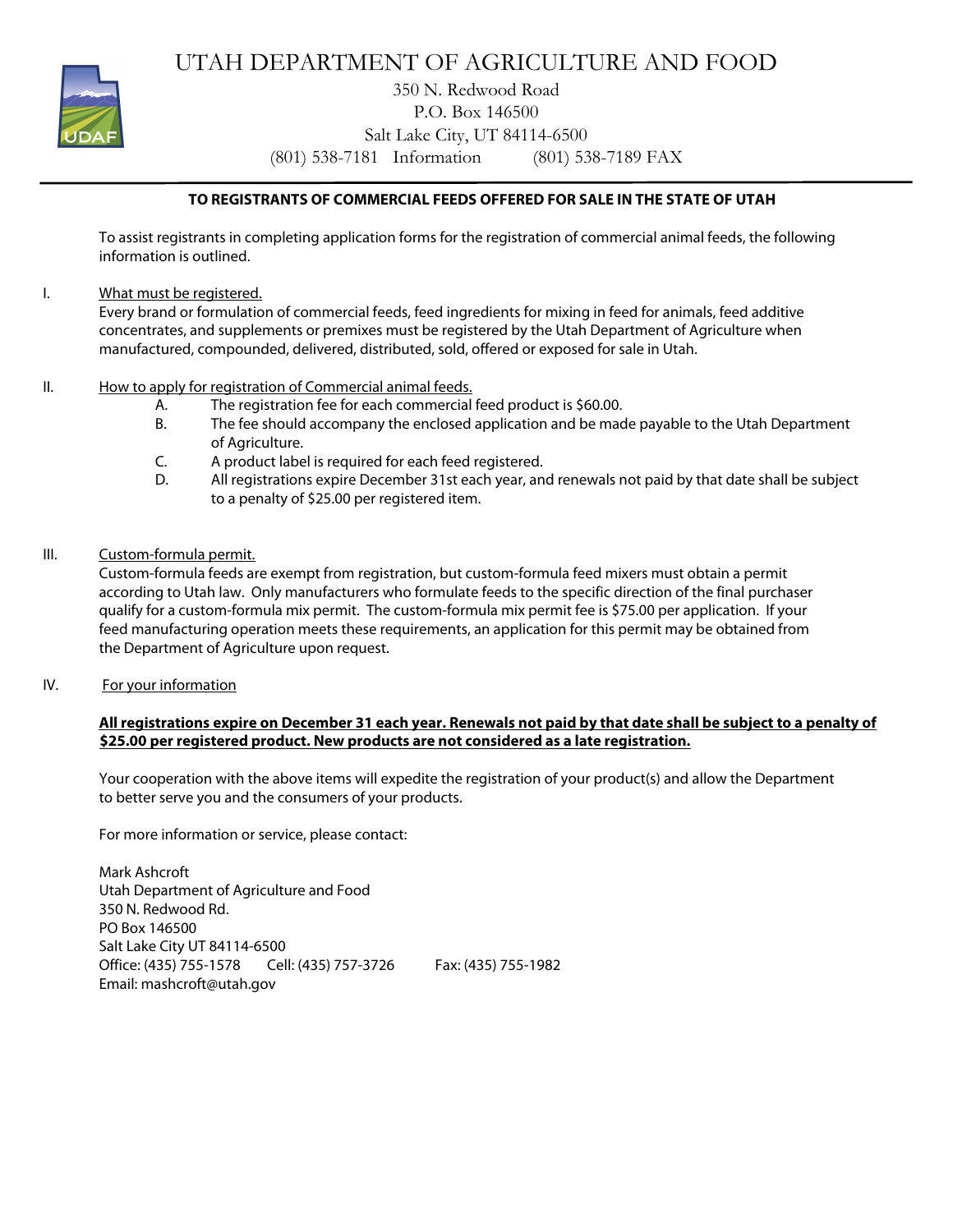

UTAH DEPARTMENT OF AGRICULTURE AND FOOD

350 N. Redwood Road P.O. Box 146500 Salt Lake City, UT 84114-6500 (801) 538-7181 Information (801) 538-7189 FAX

## **TO REGISTRANTS OF COMMERCIAL FEEDS OFFERED FOR SALE IN THE STATE OF UTAH**

To assist registrants in completing application forms for the registration of commercial animal feeds, the following information is outlined.

I. What must be registered.

Every brand or formulation of commercial feeds, feed ingredients for mixing in feed for animals, feed additive concentrates, and supplements or premixes must be registered by the Utah Department of Agriculture when manufactured, compounded, delivered, distributed, sold, offered or exposed for sale in Utah.

- II. How to apply for registration of Commercial animal feeds.
	- A. The registration fee for each commercial feed product is \$60.00.
	- B. The fee should accompany the enclosed application and be made payable to the Utah Department of Agriculture.
	- C. A product label is required for each feed registered.
	- D. All registrations expire December 31st each year, and renewals not paid by that date shall be subject to a penalty of \$25.00 per registered item.
- III. Custom-formula permit.

Custom-formula feeds are exempt from registration, but custom-formula feed mixers must obtain a permit according to Utah law. Only manufacturers who formulate feeds to the specific direction of the final purchaser qualify for a custom-formula mix permit. The custom-formula mix permit fee is \$75.00 per application. If your feed manufacturing operation meets these requirements, an application for this permit may be obtained from the Department of Agriculture upon request.

IV. For your information

#### **All registrations expire on December 31 each year. Renewals not paid by that date shall be subject to a penalty of \$25.00 per registered product. New products are not considered as a late registration.**

Your cooperation with the above items will expedite the registration of your product(s) and allow the Department to better serve you and the consumers of your products.

For more information or service, please contact:

Mark Ashcroft Utah Department of Agriculture and Food 350 N. Redwood Rd. PO Box 146500 Salt Lake City UT 84114-6500 Office: (435) 755-1578 Cell: (435) 757-3726 Fax: (435) 755-1982 Email: mashcroft@utah.gov